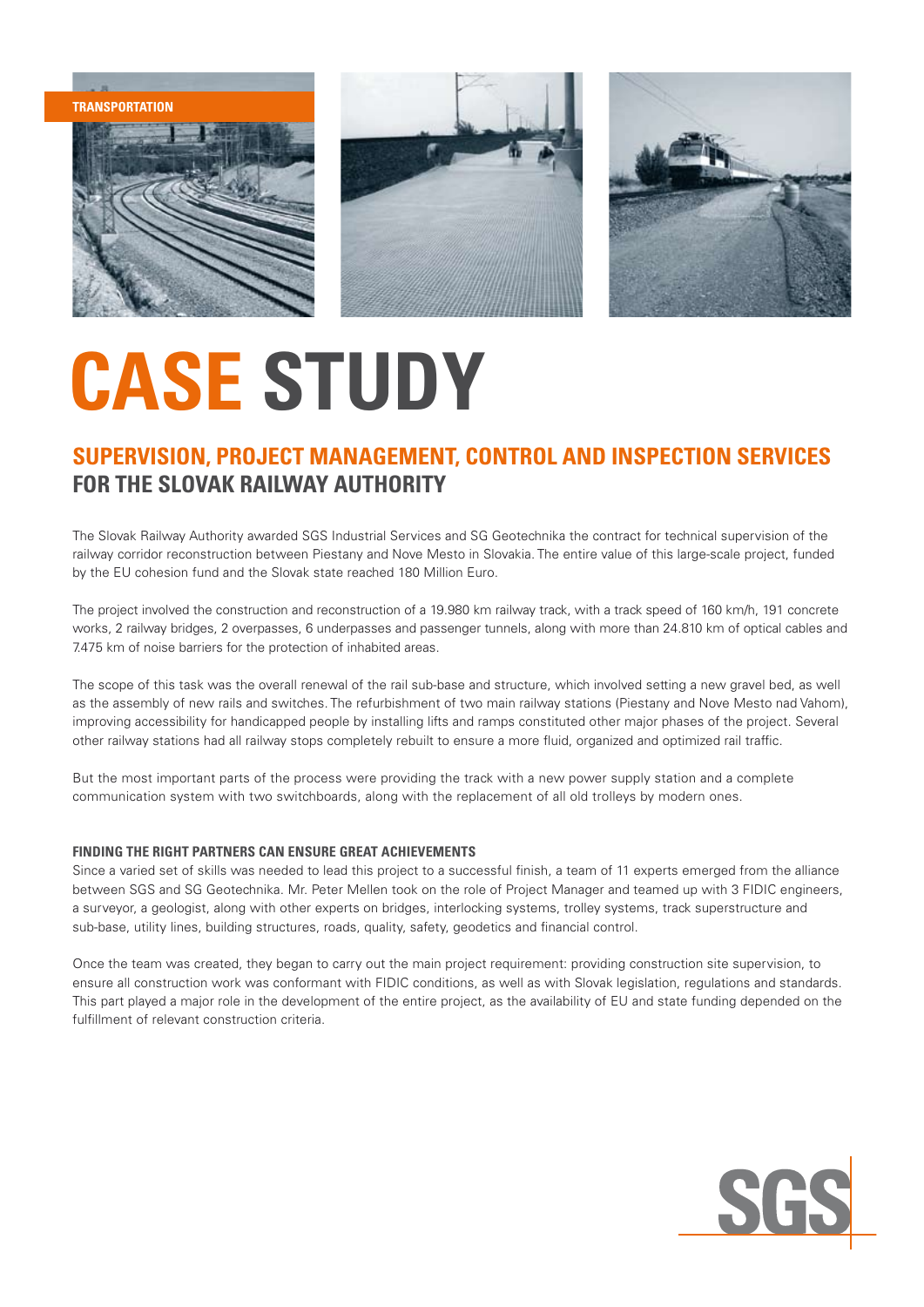**TRANSPORTATION transportation**





## **CASE STUDY**

## **SUPERVISION, PROJECT MANAGEMENT, CONTROL AND INSPECTION SERVICES FOR THE SLOVAK RAILWAY AUTHORITY**

The Slovak Railway Authority awarded SGS Industrial Services and SG Geotechnika the contract for technical supervision of the railway corridor reconstruction between Piestany and Nove Mesto in Slovakia. The entire value of this large-scale project, funded by the EU cohesion fund and the Slovak state reached 180 Million Euro.

The project involved the construction and reconstruction of a 19.980 km railway track, with a track speed of 160 km/h, 191 concrete works, 2 railway bridges, 2 overpasses, 6 underpasses and passenger tunnels, along with more than 24.810 km of optical cables and 7.475 km of noise barriers for the protection of inhabited areas.

The scope of this task was the overall renewal of the rail sub-base and structure, which involved setting a new gravel bed, as well as the assembly of new rails and switches. The refurbishment of two main railway stations (Piestany and Nove Mesto nad Vahom), improving accessibility for handicapped people by installing lifts and ramps constituted other major phases of the project. Several other railway stations had all railway stops completely rebuilt to ensure a more fluid, organized and optimized rail traffic.

But the most important parts of the process were providing the track with a new power supply station and a complete communication system with two switchboards, along with the replacement of all old trolleys by modern ones.

## **FINDING THE RIGHT PARTNERS CAN ENSURE GREAT ACHIEVEMENTS**

Since a varied set of skills was needed to lead this project to a successful finish, a team of 11 experts emerged from the alliance between SGS and SG Geotechnika. Mr. Peter Mellen took on the role of Project Manager and teamed up with 3 FIDIC engineers, a surveyor, a geologist, along with other experts on bridges, interlocking systems, trolley systems, track superstructure and sub-base, utility lines, building structures, roads, quality, safety, geodetics and financial control.

Once the team was created, they began to carry out the main project requirement: providing construction site supervision, to ensure all construction work was conformant with FIDIC conditions, as well as with Slovak legislation, regulations and standards. This part played a major role in the development of the entire project, as the availability of EU and state funding depended on the fulfillment of relevant construction criteria.